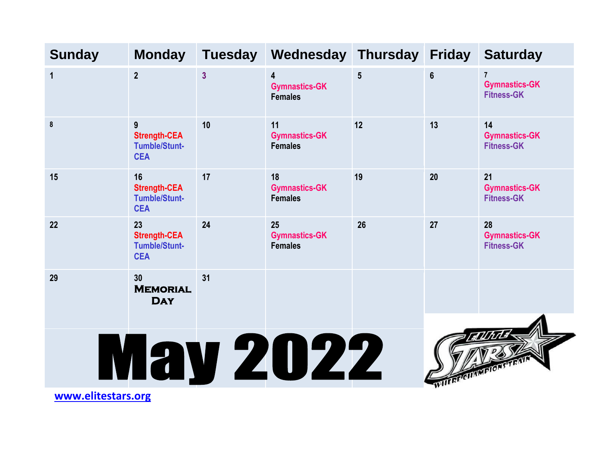| <b>Sunday</b>      | <b>Monday</b>                                                   | <b>Tuesday</b> | Wednesday Thursday                                                |    | <b>Friday</b>       | <b>Saturday</b>                                             |  |  |
|--------------------|-----------------------------------------------------------------|----------------|-------------------------------------------------------------------|----|---------------------|-------------------------------------------------------------|--|--|
| $\mathbf{1}$       | 2 <sup>2</sup>                                                  | $\overline{3}$ | $\overline{\mathbf{4}}$<br><b>Gymnastics-GK</b><br><b>Females</b> | 5  | $6\phantom{a}$      | $\overline{7}$<br><b>Gymnastics-GK</b><br><b>Fitness-GK</b> |  |  |
| 8                  | 9<br><b>Strength-CEA</b><br><b>Tumble/Stunt-</b><br><b>CEA</b>  | 10             | 11<br><b>Gymnastics-GK</b><br><b>Females</b>                      | 12 | 13                  | 14<br><b>Gymnastics-GK</b><br><b>Fitness-GK</b>             |  |  |
| 15                 | 16<br><b>Strength-CEA</b><br><b>Tumble/Stunt-</b><br><b>CEA</b> | 17             | 18<br><b>Gymnastics-GK</b><br><b>Females</b>                      | 19 | 20                  | 21<br><b>Gymnastics-GK</b><br><b>Fitness-GK</b>             |  |  |
| 22                 | 23<br><b>Strength-CEA</b><br><b>Tumble/Stunt-</b><br><b>CEA</b> | 24             | 25<br><b>Gymnastics-GK</b><br><b>Females</b>                      | 26 | 27                  | 28<br><b>Gymnastics-GK</b><br><b>Fitness-GK</b>             |  |  |
| 29                 | 30<br><b>MEMORIAL</b><br><b>DAY</b>                             | 31             |                                                                   |    |                     |                                                             |  |  |
|                    |                                                                 |                | <b>May 2022</b>                                                   |    | WITHREIGHAMPTONSTR. |                                                             |  |  |
| www.elitestars.org |                                                                 |                |                                                                   |    |                     |                                                             |  |  |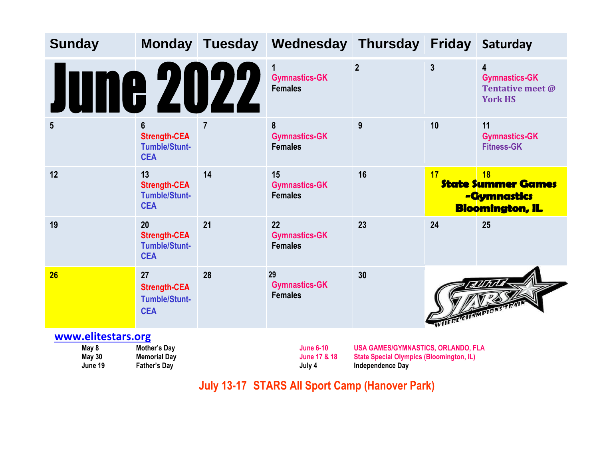| <b>Sunday</b>                                           |                                                                 |                | Monday Tuesday Wednesday Thursday Friday Saturday     |                                                                                                                  |                 |                                                                          |
|---------------------------------------------------------|-----------------------------------------------------------------|----------------|-------------------------------------------------------|------------------------------------------------------------------------------------------------------------------|-----------------|--------------------------------------------------------------------------|
| une 2022                                                |                                                                 |                | 1<br><b>Gymnastics-GK</b><br><b>Females</b>           | $\overline{2}$                                                                                                   | $\mathbf{3}$    | 4<br><b>Gymnastics-GK</b><br><b>Tentative meet @</b><br><b>York HS</b>   |
| $5\overline{)}$                                         | 6<br><b>Strength-CEA</b><br><b>Tumble/Stunt-</b><br><b>CEA</b>  | $\overline{7}$ | 8<br><b>Gymnastics-GK</b><br><b>Females</b>           | 9                                                                                                                | 10              | 11<br><b>Gymnastics-GK</b><br><b>Fitness-GK</b>                          |
| 12                                                      | 13<br><b>Strength-CEA</b><br><b>Tumble/Stunt-</b><br><b>CEA</b> | 14             | 15<br><b>Gymnastics-GK</b><br><b>Females</b>          | 16                                                                                                               | 17 <sup>2</sup> | 18<br><b>State Summer Games</b><br>-Gymnastics<br><b>Bloomington, IL</b> |
| 19                                                      | 20<br><b>Strength-CEA</b><br><b>Tumble/Stunt-</b><br><b>CEA</b> | 21             | 22<br><b>Gymnastics-GK</b><br><b>Females</b>          | 23                                                                                                               | 24              | 25                                                                       |
| 26                                                      | 27<br><b>Strength-CEA</b><br><b>Tumble/Stunt-</b><br><b>CEA</b> | 28             | 29<br><b>Gymnastics-GK</b><br><b>Females</b>          | 30                                                                                                               | WHERE CHAMPTON  |                                                                          |
| www.elitestars.org<br>May 8<br><b>May 30</b><br>June 19 | Mother's Day<br><b>Memorial Day</b><br><b>Father's Day</b>      |                | <b>June 6-10</b><br><b>June 17 &amp; 18</b><br>July 4 | USA GAMES/GYMNASTICS, ORLANDO, FLA<br><b>State Special Olympics (Bloomington, IL)</b><br><b>Independence Day</b> |                 |                                                                          |

**July 13-17 STARS All Sport Camp (Hanover Park)**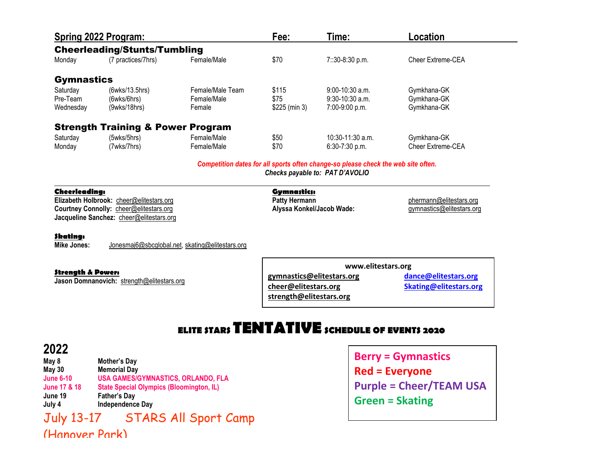| Spring 2022 Program: |                  |                                                                                     | Time:              | Location                 |  |
|----------------------|------------------|-------------------------------------------------------------------------------------|--------------------|--------------------------|--|
|                      |                  |                                                                                     |                    |                          |  |
| (7 practices/7hrs)   | Female/Male      | \$70                                                                                | 7::30-8:30 p.m.    | Cheer Extreme-CEA        |  |
| <b>Gymnastics</b>    |                  |                                                                                     |                    |                          |  |
| (6wks/13.5hrs)       | Female/Male Team | \$115                                                                               | $9:00-10:30$ a.m.  | Gymkhana-GK              |  |
| (6wks/6hrs)          | Female/Male      | \$75                                                                                | $9:30-10:30$ a.m.  | Gymkhana-GK              |  |
| (9wks/18hrs)         | Female           | \$225 (min 3)                                                                       | $7:00-9:00$ p.m.   | Gymkhana-GK              |  |
|                      |                  |                                                                                     |                    |                          |  |
| (5wks/5hrs)          | Female/Male      | \$50                                                                                | $10:30-11:30$ a.m. | Gymkhana-GK              |  |
| (7wks/7hrs)          | Female/Male      | \$70                                                                                | $6:30-7:30$ p.m.   | <b>Cheer Extreme-CEA</b> |  |
|                      |                  | <b>Cheerleading/Stunts/Tumbling</b><br><b>Strength Training &amp; Power Program</b> | Fee:               |                          |  |

*Competition dates for all sports often change-so please check the web site often.*

*Checks payable to: PAT D'AVOLIO*

|  | Cheerleading: |
|--|---------------|
|  |               |

**Elizabeth Holbrook:** [cheer@elitestars.org](mailto:cheer@elitestars.org) **Contract Contract Patty Hermann** Patty Hermann<br> **Courtney Connolly:** cheer@elitestars.org **Patty Hermann** Patty Hermann **Alyssa Konkel/Jacob Wade:** Patty Patty Symmastics@elitest **Courtney Connolly:** [cheer@elitestars.org](mailto:cheer@elitestars.org) **Alyssa Konkel/Jacob Wade:** gymnastics@elitestars.org and the example of the example of the example of the example of the example of the example of the example of the example of th **Jacqueline Sanchez:** [cheer@elitestars.org](mailto:cheer@elitestars.org)

## **Gymnastics:**<br>**Patty Hermann**

## **Skating:**

**Mike Jones:** [Jonesmaj6@sbcglobal.net,](mailto:Jonesmaj6@sbcglobal.net) skating@elitestars.org

**Strength & Power:**

**Jason Domnanovich:** [strength@elitestars.org](mailto:strength@elitestars.org)

**www.elitestars.org [gymnastics@elitestars.org](mailto:gymnastics@elitestars.org) [dance@elitestars.org](mailto:dance@elitestars.org) [cheer@elitestars.org](mailto:cheer@elitestars.org) [Skating@elitestars.org](mailto:Skating@elitestars.org) [strength@elitestars.org](mailto:strength@elitestars.org)**

## **ELITE STARS TENTATIVESCHEDULE OF EVENTS <sup>2020</sup>**

## **2022**

**May 8 Mother's Day May 30 Memorial Day June 6-10 USA GAMES/GYMNASTICS, ORLANDO, FLA June 17 & 18 State Special Olympics (Bloomington, IL) June 19 Father's Day July 4 Independence Day**

July 13-17 STARS All Sport Camp (Hanover Park)

**Berry = Gymnastics Red = Everyone Purple = Cheer/TEAM USA Green = Skating**